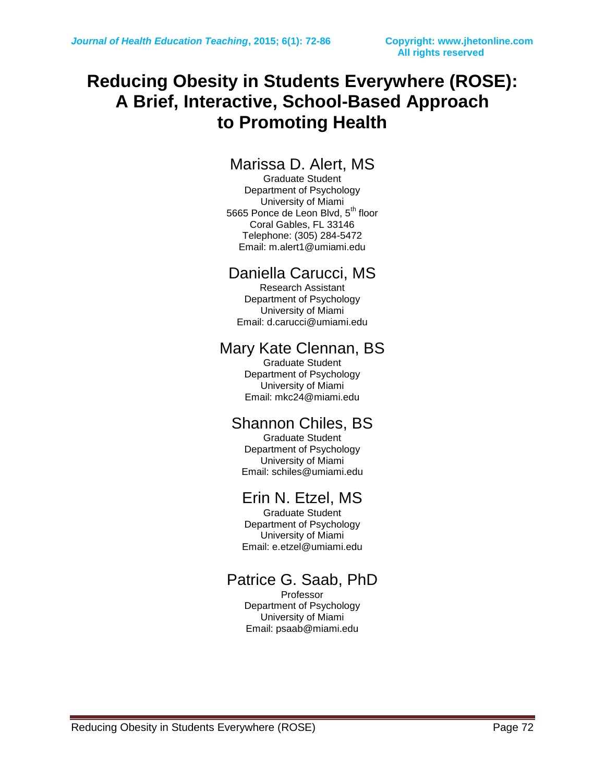## **Reducing Obesity in Students Everywhere (ROSE): A Brief, Interactive, School-Based Approach to Promoting Health**

## Marissa D. Alert, MS

Graduate Student Department of Psychology University of Miami 5665 Ponce de Leon Blvd, 5<sup>th</sup> floor Coral Gables, FL 33146 Telephone: (305) 284-5472 Email: m.alert1@umiami.edu

## Daniella Carucci, MS

Research Assistant Department of Psychology University of Miami Email: d.carucci@umiami.edu

### Mary Kate Clennan, BS

Graduate Student Department of Psychology University of Miami Email: mkc24@miami.edu

## Shannon Chiles, BS

Graduate Student Department of Psychology University of Miami Email: schiles@umiami.edu

## Erin N. Etzel, MS

Graduate Student Department of Psychology University of Miami Email: [e.etzel@umiami.edu](mailto:e.etzel@umiami.edu)

## Patrice G. Saab, PhD

Professor Department of Psychology University of Miami Email: psaab@miami.edu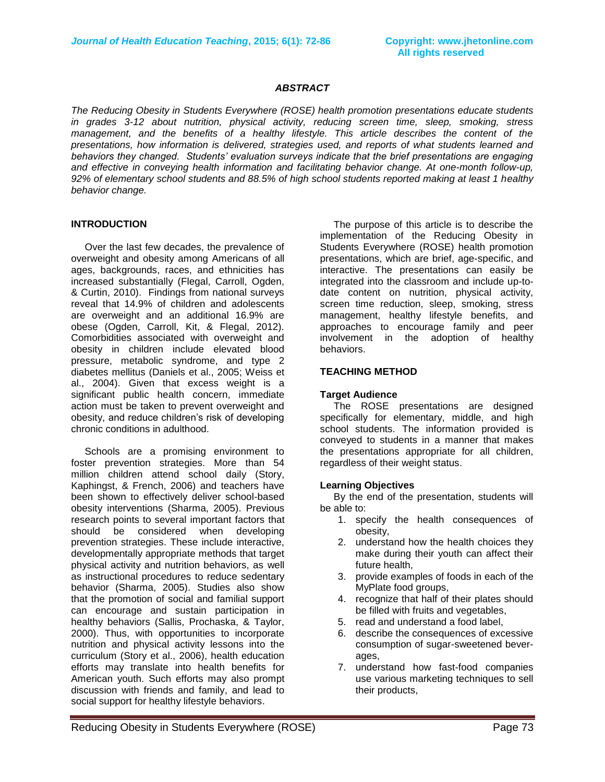#### *ABSTRACT*

*The Reducing Obesity in Students Everywhere (ROSE) health promotion presentations educate students in grades 3-12 about nutrition, physical activity, reducing screen time, sleep, smoking, stress management, and the benefits of a healthy lifestyle. This article describes the content of the presentations, how information is delivered, strategies used, and reports of what students learned and behaviors they changed. Students' evaluation surveys indicate that the brief presentations are engaging and effective in conveying health information and facilitating behavior change. At one-month follow-up, 92% of elementary school students and 88.5% of high school students reported making at least 1 healthy behavior change.*

### **INTRODUCTION**

 Over the last few decades, the prevalence of overweight and obesity among Americans of all ages, backgrounds, races, and ethnicities has increased substantially (Flegal, Carroll, Ogden, & Curtin, 2010). Findings from national surveys reveal that 14.9% of children and adolescents are overweight and an additional 16.9% are obese (Ogden, Carroll, Kit, & Flegal, 2012). Comorbidities associated with overweight and obesity in children include elevated blood pressure, metabolic syndrome, and type 2 diabetes mellitus (Daniels et al., 2005; Weiss et al., 2004). Given that excess weight is a significant public health concern, immediate action must be taken to prevent overweight and obesity, and reduce children's risk of developing chronic conditions in adulthood.

 Schools are a promising environment to foster prevention strategies. More than 54 million children attend school daily (Story, Kaphingst, & French, 2006) and teachers have been shown to effectively deliver school-based obesity interventions (Sharma, 2005). Previous research points to several important factors that should be considered when developing prevention strategies. These include interactive, developmentally appropriate methods that target physical activity and nutrition behaviors, as well as instructional procedures to reduce sedentary behavior (Sharma, 2005). Studies also show that the promotion of social and familial support can encourage and sustain participation in healthy behaviors (Sallis, Prochaska, & Taylor, 2000). Thus, with opportunities to incorporate nutrition and physical activity lessons into the curriculum (Story et al., 2006), health education efforts may translate into health benefits for American youth. Such efforts may also prompt discussion with friends and family, and lead to social support for healthy lifestyle behaviors.

 The purpose of this article is to describe the implementation of the Reducing Obesity in Students Everywhere (ROSE) health promotion presentations, which are brief, age-specific, and interactive. The presentations can easily be integrated into the classroom and include up-todate content on nutrition, physical activity, screen time reduction, sleep, smoking, stress management, healthy lifestyle benefits, and approaches to encourage family and peer involvement in the adoption of healthy behaviors.

### **TEACHING METHOD**

### **Target Audience**

 The ROSE presentations are designed specifically for elementary, middle, and high school students. The information provided is conveyed to students in a manner that makes the presentations appropriate for all children, regardless of their weight status.

### **Learning Objectives**

 By the end of the presentation, students will be able to:

- 1. specify the health consequences of obesity,
- 2. understand how the health choices they make during their youth can affect their future health,
- 3. provide examples of foods in each of the MyPlate food groups,
- 4. recognize that half of their plates should be filled with fruits and vegetables,
- 5. read and understand a food label,
- 6. describe the consequences of excessive consumption of sugar-sweetened beverages,
- 7. understand how fast-food companies use various marketing techniques to sell their products,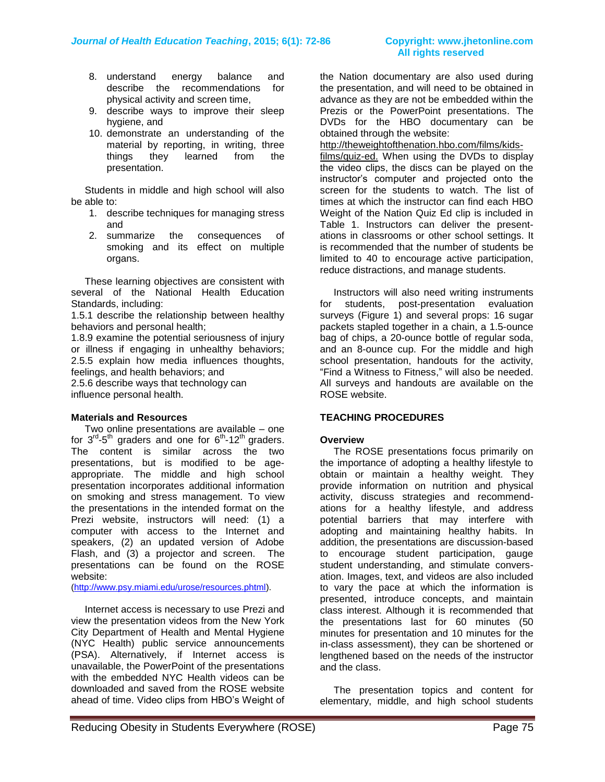- 8. understand energy balance and describe the recommendations for physical activity and screen time,
- 9. describe ways to improve their sleep hygiene, and
- 10. demonstrate an understanding of the material by reporting, in writing, three things they learned from the presentation.

 Students in middle and high school will also be able to:

- 1. describe techniques for managing stress and
- 2. summarize the consequences of smoking and its effect on multiple organs.

 These learning objectives are consistent with several of the National Health Education Standards, including:

1.5.1 describe the relationship between healthy behaviors and personal health;

1.8.9 examine the potential seriousness of injury or illness if engaging in unhealthy behaviors; 2.5.5 explain how media influences thoughts, feelings, and health behaviors; and

2.5.6 describe ways that technology can influence personal health.

### **Materials and Resources**

 Two online presentations are available – one for  $3^{rd}$ -5<sup>th</sup> graders and one for  $6^{th}$ -12<sup>th</sup> graders. The content is similar across the two presentations, but is modified to be ageappropriate. The middle and high school presentation incorporates additional information on smoking and stress management. To view the presentations in the intended format on the Prezi website, instructors will need: (1) a computer with access to the Internet and speakers, (2) an updated version of Adobe Flash, and (3) a projector and screen. The presentations can be found on the ROSE website:

[\(http://www.psy.miami.edu/urose/resources.phtml\)](http://www.psy.miami.edu/urose/resources.phtml).

 Internet access is necessary to use Prezi and view the presentation videos from the New York City Department of Health and Mental Hygiene (NYC Health) public service announcements (PSA). Alternatively, if Internet access is unavailable, the PowerPoint of the presentations with the embedded NYC Health videos can be downloaded and saved from the ROSE website ahead of time. Video clips from HBO's Weight of

the Nation documentary are also used during the presentation, and will need to be obtained in advance as they are not be embedded within the Prezis or the PowerPoint presentations. The DVDs for the HBO documentary can be obtained through the website:

http://theweightofthenation.hbo.com/films/kidsfilms/quiz-ed. When using the DVDs to display the video clips, the discs can be played on the instructor's computer and projected onto the screen for the students to watch. The list of times at which the instructor can find each HBO Weight of the Nation Quiz Ed clip is included in Table 1. Instructors can deliver the presentations in classrooms or other school settings. It is recommended that the number of students be limited to 40 to encourage active participation, reduce distractions, and manage students.

 Instructors will also need writing instruments for students, post-presentation evaluation surveys (Figure 1) and several props: 16 sugar packets stapled together in a chain, a 1.5-ounce bag of chips, a 20-ounce bottle of regular soda, and an 8-ounce cup. For the middle and high school presentation, handouts for the activity, "Find a Witness to Fitness," will also be needed. All surveys and handouts are available on the ROSE website.

### **TEACHING PROCEDURES**

### **Overview**

 The ROSE presentations focus primarily on the importance of adopting a healthy lifestyle to obtain or maintain a healthy weight. They provide information on nutrition and physical activity, discuss strategies and recommendations for a healthy lifestyle, and address potential barriers that may interfere with adopting and maintaining healthy habits. In addition, the presentations are discussion-based to encourage student participation, gauge student understanding, and stimulate conversation. Images, text, and videos are also included to vary the pace at which the information is presented, introduce concepts, and maintain class interest. Although it is recommended that the presentations last for 60 minutes (50 minutes for presentation and 10 minutes for the in-class assessment), they can be shortened or lengthened based on the needs of the instructor and the class.

 The presentation topics and content for elementary, middle, and high school students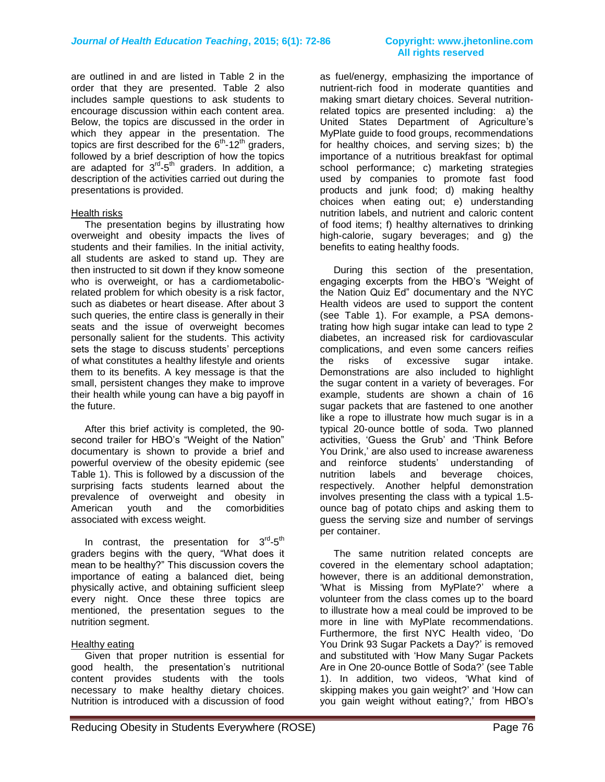are outlined in and are listed in Table 2 in the order that they are presented. Table 2 also includes sample questions to ask students to encourage discussion within each content area. Below, the topics are discussed in the order in which they appear in the presentation. The topics are first described for the  $6<sup>th</sup>$ -12<sup>th</sup> graders, followed by a brief description of how the topics are adapted for 3<sup>rd</sup>-5<sup>th</sup> graders. In addition, a description of the activities carried out during the presentations is provided.

### Health risks

 The presentation begins by illustrating how overweight and obesity impacts the lives of students and their families. In the initial activity, all students are asked to stand up. They are then instructed to sit down if they know someone who is overweight, or has a cardiometabolicrelated problem for which obesity is a risk factor, such as diabetes or heart disease. After about 3 such queries, the entire class is generally in their seats and the issue of overweight becomes personally salient for the students. This activity sets the stage to discuss students' perceptions of what constitutes a healthy lifestyle and orients them to its benefits. A key message is that the small, persistent changes they make to improve their health while young can have a big payoff in the future.

 After this brief activity is completed, the 90 second trailer for HBO's "Weight of the Nation" documentary is shown to provide a brief and powerful overview of the obesity epidemic (see Table 1). This is followed by a discussion of the surprising facts students learned about the prevalence of overweight and obesity in American youth and the comorbidities associated with excess weight.

In contrast, the presentation for  $3^{rd}\text{-}5^{th}$ graders begins with the query, "What does it mean to be healthy?" This discussion covers the importance of eating a balanced diet, being physically active, and obtaining sufficient sleep every night. Once these three topics are mentioned, the presentation segues to the nutrition segment.

### Healthy eating

 Given that proper nutrition is essential for good health, the presentation's nutritional content provides students with the tools necessary to make healthy dietary choices. Nutrition is introduced with a discussion of food

# **All rights reserved**

as fuel/energy, emphasizing the importance of nutrient-rich food in moderate quantities and making smart dietary choices. Several nutritionrelated topics are presented including: a) the United States Department of Agriculture's MyPlate guide to food groups, recommendations for healthy choices, and serving sizes; b) the importance of a nutritious breakfast for optimal school performance; c) marketing strategies used by companies to promote fast food products and junk food; d) making healthy choices when eating out; e) understanding nutrition labels, and nutrient and caloric content of food items; f) healthy alternatives to drinking high-calorie, sugary beverages; and g) the benefits to eating healthy foods.

 During this section of the presentation, engaging excerpts from the HBO's "Weight of the Nation Quiz Ed" documentary and the NYC Health videos are used to support the content (see Table 1). For example, a PSA demonstrating how high sugar intake can lead to type 2 diabetes, an increased risk for cardiovascular complications, and even some cancers reifies the risks of excessive sugar intake. Demonstrations are also included to highlight the sugar content in a variety of beverages. For example, students are shown a chain of 16 sugar packets that are fastened to one another like a rope to illustrate how much sugar is in a typical 20-ounce bottle of soda. Two planned activities, 'Guess the Grub' and 'Think Before You Drink,' are also used to increase awareness and reinforce students' understanding of nutrition labels and beverage choices, respectively. Another helpful demonstration involves presenting the class with a typical 1.5 ounce bag of potato chips and asking them to guess the serving size and number of servings per container.

 The same nutrition related concepts are covered in the elementary school adaptation; however, there is an additional demonstration, 'What is Missing from MyPlate?' where a volunteer from the class comes up to the board to illustrate how a meal could be improved to be more in line with MyPlate recommendations. Furthermore, the first NYC Health video, 'Do You Drink 93 Sugar Packets a Day?' is removed and substituted with 'How Many Sugar Packets Are in One 20-ounce Bottle of Soda?' (see Table 1). In addition, two videos, 'What kind of skipping makes you gain weight?' and 'How can you gain weight without eating?,' from HBO's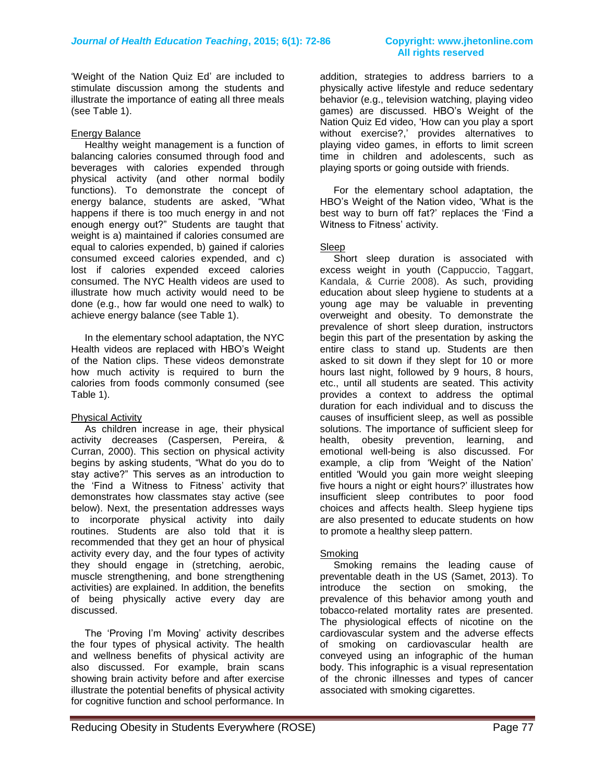# **All rights reserved**

'Weight of the Nation Quiz Ed' are included to stimulate discussion among the students and illustrate the importance of eating all three meals (see Table 1).

### Energy Balance

 Healthy weight management is a function of balancing calories consumed through food and beverages with calories expended through physical activity (and other normal bodily functions). To demonstrate the concept of energy balance, students are asked, "What happens if there is too much energy in and not enough energy out?" Students are taught that weight is a) maintained if calories consumed are equal to calories expended, b) gained if calories consumed exceed calories expended, and c) lost if calories expended exceed calories consumed. The NYC Health videos are used to illustrate how much activity would need to be done (e.g., how far would one need to walk) to achieve energy balance (see Table 1).

 In the elementary school adaptation, the NYC Health videos are replaced with HBO's Weight of the Nation clips. These videos demonstrate how much activity is required to burn the calories from foods commonly consumed (see Table 1).

### Physical Activity

 As children increase in age, their physical activity decreases (Caspersen, Pereira, & Curran, 2000). This section on physical activity begins by asking students, "What do you do to stay active?" This serves as an introduction to the 'Find a Witness to Fitness' activity that demonstrates how classmates stay active (see below). Next, the presentation addresses ways to incorporate physical activity into daily routines. Students are also told that it is recommended that they get an hour of physical activity every day, and the four types of activity they should engage in (stretching, aerobic, muscle strengthening, and bone strengthening activities) are explained. In addition, the benefits of being physically active every day are discussed.

 The 'Proving I'm Moving' activity describes the four types of physical activity. The health and wellness benefits of physical activity are also discussed. For example, brain scans showing brain activity before and after exercise illustrate the potential benefits of physical activity for cognitive function and school performance. In

addition, strategies to address barriers to a physically active lifestyle and reduce sedentary behavior (e.g., television watching, playing video games) are discussed. HBO's Weight of the Nation Quiz Ed video, 'How can you play a sport without exercise?,' provides alternatives to playing video games, in efforts to limit screen time in children and adolescents, such as playing sports or going outside with friends.

 For the elementary school adaptation, the HBO's Weight of the Nation video, 'What is the best way to burn off fat?' replaces the 'Find a Witness to Fitness' activity.

### **Sleep**

 Short sleep duration is associated with excess weight in youth (Cappuccio, Taggart, Kandala, & Currie 2008). As such, providing education about sleep hygiene to students at a young age may be valuable in preventing overweight and obesity. To demonstrate the prevalence of short sleep duration, instructors begin this part of the presentation by asking the entire class to stand up. Students are then asked to sit down if they slept for 10 or more hours last night, followed by 9 hours, 8 hours, etc., until all students are seated. This activity provides a context to address the optimal duration for each individual and to discuss the causes of insufficient sleep, as well as possible solutions. The importance of sufficient sleep for health, obesity prevention, learning, and emotional well-being is also discussed. For example, a clip from 'Weight of the Nation' entitled 'Would you gain more weight sleeping five hours a night or eight hours?' illustrates how insufficient sleep contributes to poor food choices and affects health. Sleep hygiene tips are also presented to educate students on how to promote a healthy sleep pattern.

### **Smoking**

 Smoking remains the leading cause of preventable death in the US (Samet, 2013). To introduce the section on smoking, the prevalence of this behavior among youth and tobacco-related mortality rates are presented. The physiological effects of nicotine on the cardiovascular system and the adverse effects of smoking on cardiovascular health are conveyed using an infographic of the human body. This infographic is a visual representation of the chronic illnesses and types of cancer associated with smoking cigarettes.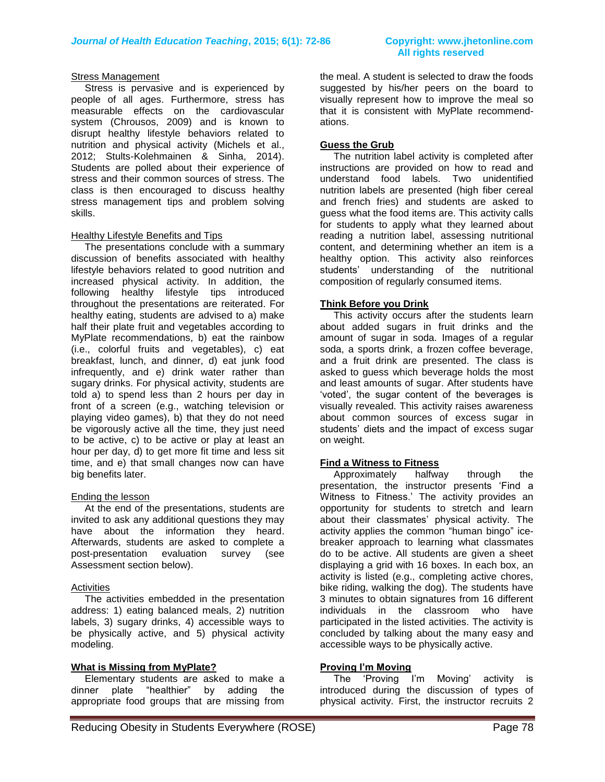# **All rights reserved**

### **Stress Management**

 Stress is pervasive and is experienced by people of all ages. Furthermore, stress has measurable effects on the cardiovascular system (Chrousos, 2009) and is known to disrupt healthy lifestyle behaviors related to nutrition and physical activity (Michels et al., 2012; Stults-Kolehmainen & Sinha, 2014). Students are polled about their experience of stress and their common sources of stress. The class is then encouraged to discuss healthy stress management tips and problem solving skills.

### Healthy Lifestyle Benefits and Tips

 The presentations conclude with a summary discussion of benefits associated with healthy lifestyle behaviors related to good nutrition and increased physical activity. In addition, the following healthy lifestyle tips introduced throughout the presentations are reiterated. For healthy eating, students are advised to a) make half their plate fruit and vegetables according to MyPlate recommendations, b) eat the rainbow (i.e., colorful fruits and vegetables), c) eat breakfast, lunch, and dinner, d) eat junk food infrequently, and e) drink water rather than sugary drinks. For physical activity, students are told a) to spend less than 2 hours per day in front of a screen (e.g., watching television or playing video games), b) that they do not need be vigorously active all the time, they just need to be active, c) to be active or play at least an hour per day, d) to get more fit time and less sit time, and e) that small changes now can have big benefits later.

### Ending the lesson

 At the end of the presentations, students are invited to ask any additional questions they may have about the information they heard. Afterwards, students are asked to complete a post-presentation evaluation survey (see Assessment section below).

### **Activities**

 The activities embedded in the presentation address: 1) eating balanced meals, 2) nutrition labels, 3) sugary drinks, 4) accessible ways to be physically active, and 5) physical activity modeling.

### **What is Missing from MyPlate?**

 Elementary students are asked to make a dinner plate "healthier" by adding the appropriate food groups that are missing from the meal. A student is selected to draw the foods suggested by his/her peers on the board to visually represent how to improve the meal so that it is consistent with MyPlate recommendations.

### **Guess the Grub**

 The nutrition label activity is completed after instructions are provided on how to read and understand food labels. Two unidentified nutrition labels are presented (high fiber cereal and french fries) and students are asked to guess what the food items are. This activity calls for students to apply what they learned about reading a nutrition label, assessing nutritional content, and determining whether an item is a healthy option. This activity also reinforces students' understanding of the nutritional composition of regularly consumed items.

### **Think Before you Drink**

 This activity occurs after the students learn about added sugars in fruit drinks and the amount of sugar in soda. Images of a regular soda, a sports drink, a frozen coffee beverage, and a fruit drink are presented. The class is asked to guess which beverage holds the most and least amounts of sugar. After students have 'voted', the sugar content of the beverages is visually revealed. This activity raises awareness about common sources of excess sugar in students' diets and the impact of excess sugar on weight.

### **Find a Witness to Fitness**

 Approximately halfway through the presentation, the instructor presents 'Find a Witness to Fitness.' The activity provides an opportunity for students to stretch and learn about their classmates' physical activity. The activity applies the common "human bingo" icebreaker approach to learning what classmates do to be active. All students are given a sheet displaying a grid with 16 boxes. In each box, an activity is listed (e.g., completing active chores, bike riding, walking the dog). The students have 3 minutes to obtain signatures from 16 different individuals in the classroom who have participated in the listed activities. The activity is concluded by talking about the many easy and accessible ways to be physically active.

### **Proving I'm Moving**

 The 'Proving I'm Moving' activity is introduced during the discussion of types of physical activity. First, the instructor recruits 2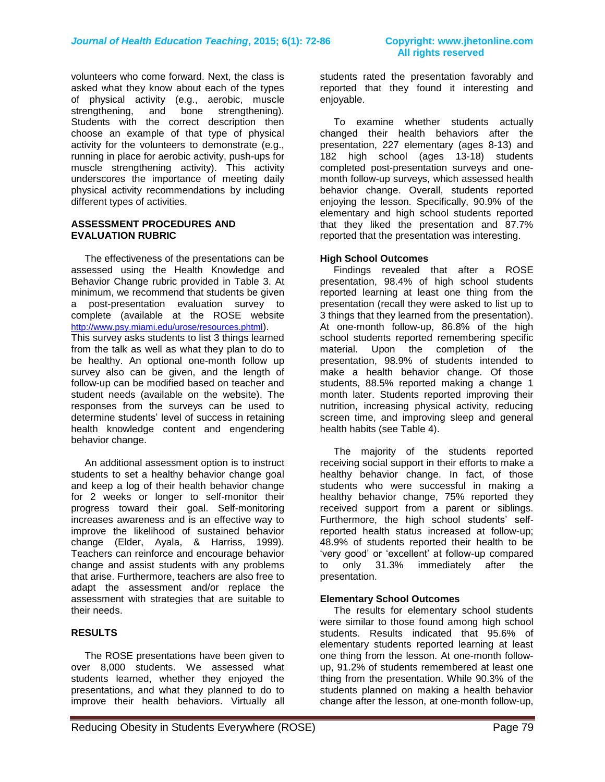volunteers who come forward. Next, the class is asked what they know about each of the types of physical activity (e.g., aerobic, muscle strengthening, and bone strengthening). Students with the correct description then choose an example of that type of physical activity for the volunteers to demonstrate (e.g., running in place for aerobic activity, push-ups for muscle strengthening activity). This activity underscores the importance of meeting daily physical activity recommendations by including different types of activities.

### **ASSESSMENT PROCEDURES AND EVALUATION RUBRIC**

 The effectiveness of the presentations can be assessed using the Health Knowledge and Behavior Change rubric provided in Table 3. At minimum, we recommend that students be given a post-presentation evaluation survey to complete (available at the ROSE website <http://www.psy.miami.edu/urose/resources.phtml>).

This survey asks students to list 3 things learned from the talk as well as what they plan to do to be healthy. An optional one-month follow up survey also can be given, and the length of follow-up can be modified based on teacher and student needs (available on the website). The responses from the surveys can be used to determine students' level of success in retaining health knowledge content and engendering behavior change.

 An additional assessment option is to instruct students to set a healthy behavior change goal and keep a log of their health behavior change for 2 weeks or longer to self-monitor their progress toward their goal. Self-monitoring increases awareness and is an effective way to improve the likelihood of sustained behavior change (Elder, Ayala, & Harriss, 1999). Teachers can reinforce and encourage behavior change and assist students with any problems that arise. Furthermore, teachers are also free to adapt the assessment and/or replace the assessment with strategies that are suitable to their needs.

### **RESULTS**

 The ROSE presentations have been given to over 8,000 students. We assessed what students learned, whether they enjoyed the presentations, and what they planned to do to improve their health behaviors. Virtually all students rated the presentation favorably and reported that they found it interesting and enjoyable.

 To examine whether students actually changed their health behaviors after the presentation, 227 elementary (ages 8-13) and 182 high school (ages 13-18) students completed post-presentation surveys and onemonth follow-up surveys, which assessed health behavior change. Overall, students reported enjoying the lesson. Specifically, 90.9% of the elementary and high school students reported that they liked the presentation and 87.7% reported that the presentation was interesting.

### **High School Outcomes**

 Findings revealed that after a ROSE presentation, 98.4% of high school students reported learning at least one thing from the presentation (recall they were asked to list up to 3 things that they learned from the presentation). At one-month follow-up, 86.8% of the high school students reported remembering specific material. Upon the completion of the presentation, 98.9% of students intended to make a health behavior change. Of those students, 88.5% reported making a change 1 month later. Students reported improving their nutrition, increasing physical activity, reducing screen time, and improving sleep and general health habits (see Table 4).

 The majority of the students reported receiving social support in their efforts to make a healthy behavior change. In fact, of those students who were successful in making a healthy behavior change, 75% reported they received support from a parent or siblings. Furthermore, the high school students' selfreported health status increased at follow-up; 48.9% of students reported their health to be 'very good' or 'excellent' at follow-up compared to only 31.3% immediately after the presentation.

### **Elementary School Outcomes**

 The results for elementary school students were similar to those found among high school students. Results indicated that 95.6% of elementary students reported learning at least one thing from the lesson. At one-month followup, 91.2% of students remembered at least one thing from the presentation. While 90.3% of the students planned on making a health behavior change after the lesson, at one-month follow-up,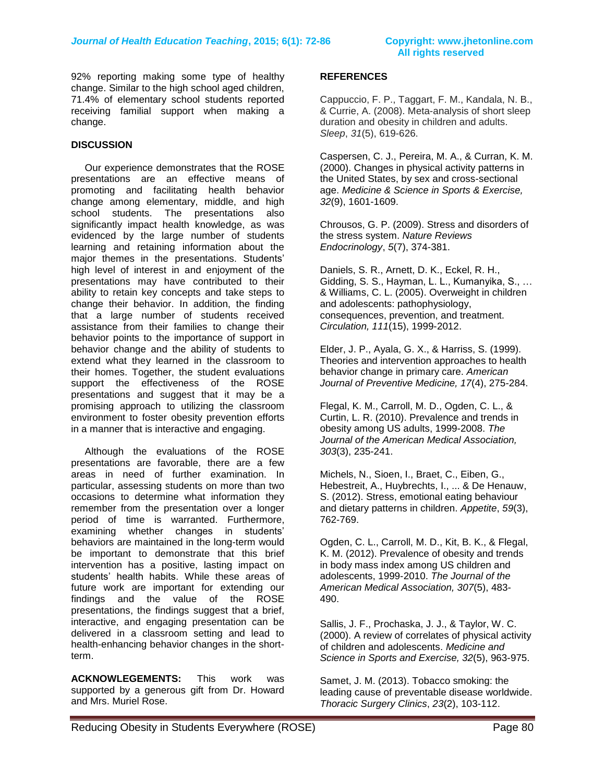92% reporting making some type of healthy change. Similar to the high school aged children, 71.4% of elementary school students reported receiving familial support when making a change.

### **DISCUSSION**

 Our experience demonstrates that the ROSE presentations are an effective means of promoting and facilitating health behavior change among elementary, middle, and high school students. The presentations also significantly impact health knowledge, as was evidenced by the large number of students learning and retaining information about the major themes in the presentations. Students' high level of interest in and enjoyment of the presentations may have contributed to their ability to retain key concepts and take steps to change their behavior. In addition, the finding that a large number of students received assistance from their families to change their behavior points to the importance of support in behavior change and the ability of students to extend what they learned in the classroom to their homes. Together, the student evaluations support the effectiveness of the ROSE presentations and suggest that it may be a promising approach to utilizing the classroom environment to foster obesity prevention efforts in a manner that is interactive and engaging.

 Although the evaluations of the ROSE presentations are favorable, there are a few areas in need of further examination. In particular, assessing students on more than two occasions to determine what information they remember from the presentation over a longer period of time is warranted. Furthermore, examining whether changes in students' behaviors are maintained in the long-term would be important to demonstrate that this brief intervention has a positive, lasting impact on students' health habits. While these areas of future work are important for extending our findings and the value of the ROSE presentations, the findings suggest that a brief, interactive, and engaging presentation can be delivered in a classroom setting and lead to health-enhancing behavior changes in the shortterm.

**ACKNOWLEGEMENTS:** This work was supported by a generous gift from Dr. Howard and Mrs. Muriel Rose.

### **REFERENCES**

Cappuccio, F. P., Taggart, F. M., Kandala, N. B., & Currie, A. (2008). Meta-analysis of short sleep duration and obesity in children and adults. *Sleep*, *31*(5), 619-626.

Caspersen, C. J., Pereira, M. A., & Curran, K. M. (2000). Changes in physical activity patterns in the United States, by sex and cross-sectional age. *Medicine & Science in Sports & Exercise, 32*(9), 1601-1609.

Chrousos, G. P. (2009). Stress and disorders of the stress system. *Nature Reviews Endocrinology*, *5*(7), 374-381.

Daniels, S. R., Arnett, D. K., Eckel, R. H., Gidding, S. S., Hayman, L. L., Kumanyika, S., … & Williams, C. L. (2005). Overweight in children and adolescents: pathophysiology, consequences, prevention, and treatment. *Circulation, 111*(15), 1999-2012.

Elder, J. P., Ayala, G. X., & Harriss, S. (1999). Theories and intervention approaches to health behavior change in primary care. *American Journal of Preventive Medicine, 17*(4), 275-284.

Flegal, K. M., Carroll, M. D., Ogden, C. L., & Curtin, L. R. (2010). Prevalence and trends in obesity among US adults, 1999-2008. *The Journal of the American Medical Association, 303*(3), 235-241.

Michels, N., Sioen, I., Braet, C., Eiben, G., Hebestreit, A., Huybrechts, I., ... & De Henauw, S. (2012). Stress, emotional eating behaviour and dietary patterns in children. *Appetite*, *59*(3), 762-769.

Ogden, C. L., Carroll, M. D., Kit, B. K., & Flegal, K. M. (2012). Prevalence of obesity and trends in body mass index among US children and adolescents, 1999-2010. *The Journal of the American Medical Association, 307*(5), 483- 490.

Sallis, J. F., Prochaska, J. J., & Taylor, W. C. (2000). A review of correlates of physical activity of children and adolescents. *Medicine and Science in Sports and Exercise, 32*(5), 963-975.

Samet, J. M. (2013). Tobacco smoking: the leading cause of preventable disease worldwide. *Thoracic Surgery Clinics*, *23*(2), 103-112.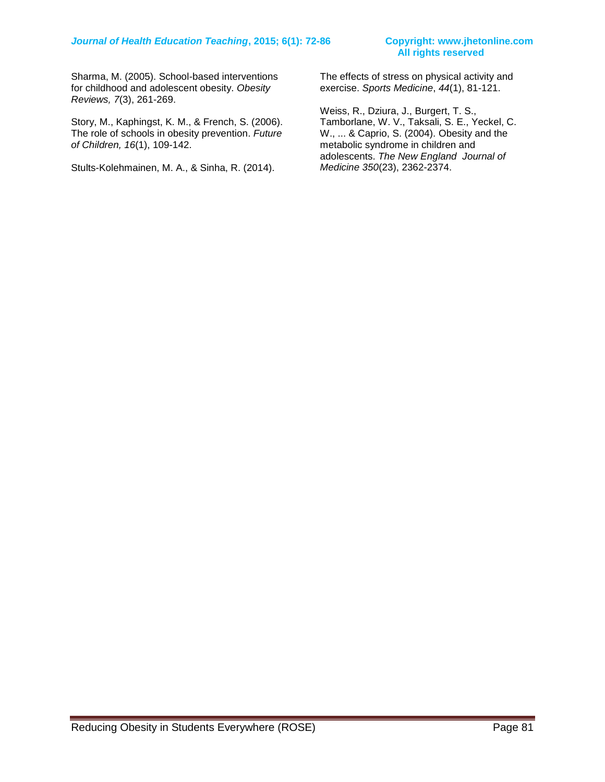# **All rights reserved**

Sharma, M. (2005). School-based interventions for childhood and adolescent obesity. *Obesity Reviews, 7*(3), 261-269.

Story, M., Kaphingst, K. M., & French, S. (2006). The role of schools in obesity prevention. *Future of Children, 16*(1), 109-142.

Stults-Kolehmainen, M. A., & Sinha, R. (2014).

The effects of stress on physical activity and exercise. *Sports Medicine*, *44*(1), 81-121.

Weiss, R., Dziura, J., Burgert, T. S., Tamborlane, W. V., Taksali, S. E., Yeckel, C. W., ... & Caprio, S. (2004). Obesity and the metabolic syndrome in children and adolescents. *The New England Journal of Medicine 350*(23), 2362-2374.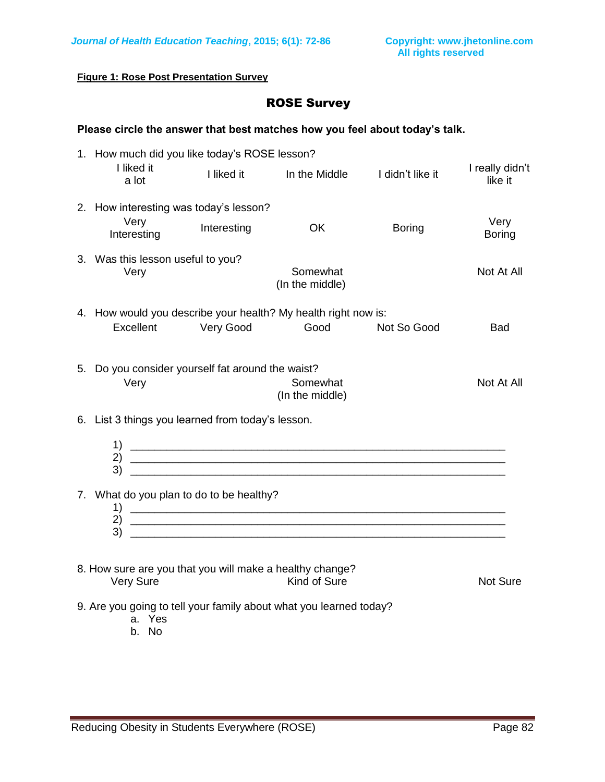**Figure 1: Rose Post Presentation Survey**

### ROSE Survey

### **Please circle the answer that best matches how you feel about today's talk.**

| 1. How much did you like today's ROSE lesson?                         |             |                                                                                                                      |               |                            |
|-----------------------------------------------------------------------|-------------|----------------------------------------------------------------------------------------------------------------------|---------------|----------------------------|
| I liked it<br>a lot                                                   | I liked it  | In the Middle Ididn't like it                                                                                        |               | I really didn't<br>like it |
| 2. How interesting was today's lesson?                                |             |                                                                                                                      |               |                            |
| Very<br>Interesting                                                   | Interesting | <b>OK</b>                                                                                                            | <b>Boring</b> | Very<br><b>Boring</b>      |
| 3. Was this lesson useful to you?<br>Very                             |             | Somewhat<br>(In the middle)                                                                                          |               | Not At All                 |
|                                                                       |             | 4. How would you describe your health? My health right now is:                                                       |               |                            |
| Excellent                                                             | Very Good   | Good                                                                                                                 | Not So Good   | <b>Bad</b>                 |
| 5. Do you consider yourself fat around the waist?<br>Very             |             | Somewhat<br>(In the middle)                                                                                          |               | Not At All                 |
| 6. List 3 things you learned from today's lesson.                     |             |                                                                                                                      |               |                            |
|                                                                       |             |                                                                                                                      |               |                            |
| 7. What do you plan to do to be healthy?<br>2)                        |             | <u> 1989 - Johann John Stone, markin amerikan basar dan berkembang di sebagai personal dan berkembang di sebagai</u> |               |                            |
| 3)                                                                    |             |                                                                                                                      |               |                            |
| 8. How sure are you that you will make a healthy change?<br>Very Sure |             | Kind of Sure                                                                                                         |               | Not Sure                   |
| a. Yes<br>b. No                                                       |             | 9. Are you going to tell your family about what you learned today?                                                   |               |                            |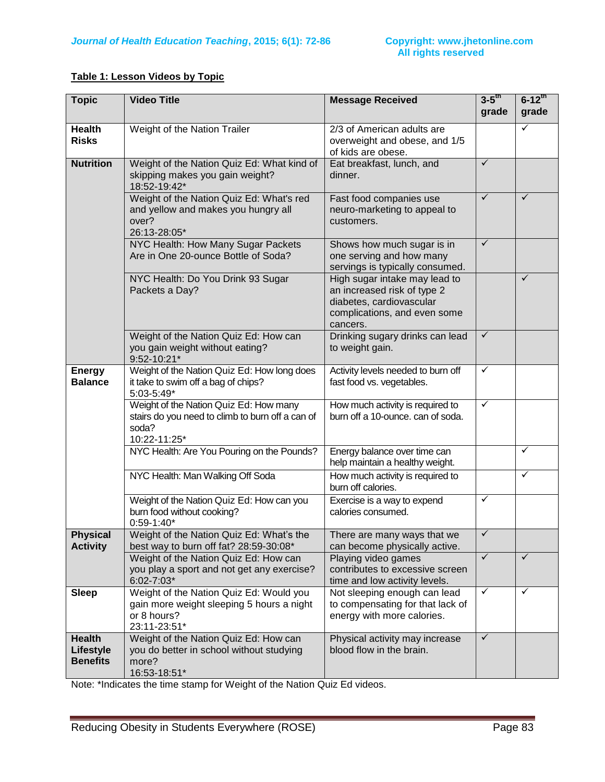### **Table 1: Lesson Videos by Topic**

| <b>Topic</b>                                  | <b>Video Title</b>                                                                                                                                                  | <b>Message Received</b>                                                                                                              | $3-5$ <sup>th</sup><br>grade | $6 - 12$ <sup>th</sup><br>grade |
|-----------------------------------------------|---------------------------------------------------------------------------------------------------------------------------------------------------------------------|--------------------------------------------------------------------------------------------------------------------------------------|------------------------------|---------------------------------|
| <b>Health</b><br><b>Risks</b>                 | Weight of the Nation Trailer                                                                                                                                        | 2/3 of American adults are<br>overweight and obese, and 1/5<br>of kids are obese.                                                    |                              | ✓                               |
| <b>Nutrition</b>                              | Weight of the Nation Quiz Ed: What kind of<br>skipping makes you gain weight?<br>18:52-19:42*                                                                       | Eat breakfast, lunch, and<br>dinner.                                                                                                 | $\checkmark$                 |                                 |
|                                               | Weight of the Nation Quiz Ed: What's red<br>and yellow and makes you hungry all<br>over?<br>26:13-28:05*                                                            | Fast food companies use<br>neuro-marketing to appeal to<br>customers.                                                                | $\checkmark$                 | ✓                               |
|                                               | NYC Health: How Many Sugar Packets<br>Are in One 20-ounce Bottle of Soda?                                                                                           | Shows how much sugar is in<br>one serving and how many<br>servings is typically consumed.                                            | $\checkmark$                 |                                 |
|                                               | NYC Health: Do You Drink 93 Sugar<br>Packets a Day?                                                                                                                 | High sugar intake may lead to<br>an increased risk of type 2<br>diabetes, cardiovascular<br>complications, and even some<br>cancers. |                              | ✓                               |
|                                               | Weight of the Nation Quiz Ed: How can<br>you gain weight without eating?<br>9:52-10:21*                                                                             | Drinking sugary drinks can lead<br>to weight gain.                                                                                   | $\checkmark$                 |                                 |
| <b>Energy</b><br><b>Balance</b>               | Weight of the Nation Quiz Ed: How long does<br>Activity levels needed to burn off<br>it take to swim off a bag of chips?<br>fast food vs. vegetables.<br>5:03-5:49* |                                                                                                                                      | $\checkmark$                 |                                 |
|                                               | Weight of the Nation Quiz Ed: How many<br>stairs do you need to climb to burn off a can of<br>soda?<br>10:22-11:25*                                                 | How much activity is required to<br>burn off a 10-ounce. can of soda.                                                                | $\checkmark$                 |                                 |
|                                               | NYC Health: Are You Pouring on the Pounds?                                                                                                                          | Energy balance over time can<br>help maintain a healthy weight.                                                                      |                              | ✓                               |
|                                               | NYC Health: Man Walking Off Soda                                                                                                                                    | How much activity is required to<br>burn off calories.                                                                               |                              | ✓                               |
|                                               | Weight of the Nation Quiz Ed: How can you<br>burn food without cooking?<br>$0:59-1:40*$                                                                             | Exercise is a way to expend<br>calories consumed.                                                                                    | ✓                            |                                 |
| <b>Physical</b><br><b>Activity</b>            | Weight of the Nation Quiz Ed: What's the<br>best way to burn off fat? 28:59-30:08*                                                                                  | There are many ways that we<br>can become physically active.                                                                         | $\checkmark$                 |                                 |
|                                               | Weight of the Nation Quiz Ed: How can<br>you play a sport and not get any exercise?<br>$6:02 - 7:03*$                                                               | Playing video games<br>contributes to excessive screen<br>time and low activity levels.                                              | $\checkmark$                 | ✓                               |
| <b>Sleep</b>                                  | Weight of the Nation Quiz Ed: Would you<br>gain more weight sleeping 5 hours a night<br>or 8 hours?<br>23:11-23:51*                                                 | Not sleeping enough can lead<br>to compensating for that lack of<br>energy with more calories.                                       | $\checkmark$                 | ✓                               |
| <b>Health</b><br>Lifestyle<br><b>Benefits</b> | Weight of the Nation Quiz Ed: How can<br>you do better in school without studying<br>more?<br>16:53-18:51*                                                          | Physical activity may increase<br>blood flow in the brain.                                                                           | $\checkmark$                 |                                 |

Note: \*Indicates the time stamp for Weight of the Nation Quiz Ed videos.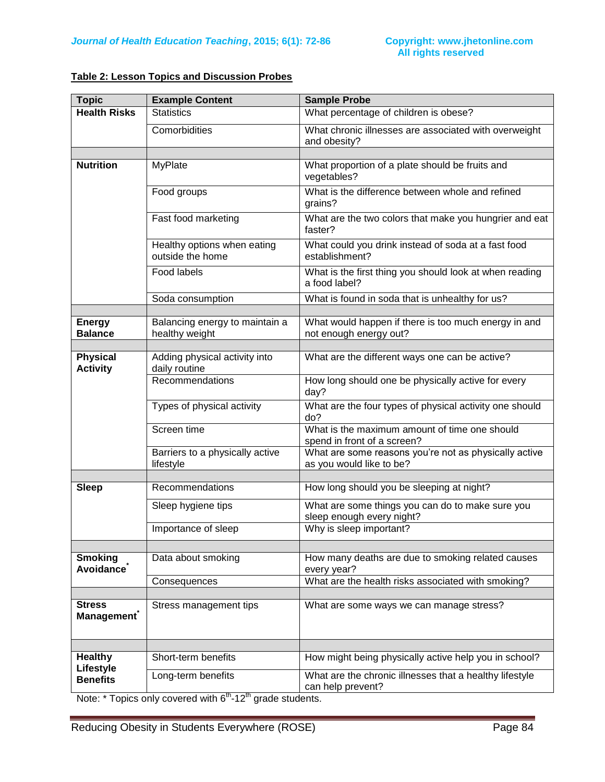| Table 2: Lesson Topics and Discussion Probes |
|----------------------------------------------|
|----------------------------------------------|

| <b>Topic</b>                       | <b>Example Content</b>                           | <b>Sample Probe</b>                                                               |
|------------------------------------|--------------------------------------------------|-----------------------------------------------------------------------------------|
| <b>Health Risks</b>                | <b>Statistics</b>                                | What percentage of children is obese?                                             |
|                                    | Comorbidities                                    | What chronic illnesses are associated with overweight<br>and obesity?             |
|                                    |                                                  |                                                                                   |
| <b>Nutrition</b>                   | <b>MyPlate</b>                                   | What proportion of a plate should be fruits and<br>vegetables?                    |
|                                    | Food groups                                      | What is the difference between whole and refined<br>grains?                       |
|                                    | Fast food marketing                              | What are the two colors that make you hungrier and eat<br>faster?                 |
|                                    | Healthy options when eating<br>outside the home  | What could you drink instead of soda at a fast food<br>establishment?             |
|                                    | Food labels                                      | What is the first thing you should look at when reading<br>a food label?          |
|                                    | Soda consumption                                 | What is found in soda that is unhealthy for us?                                   |
|                                    |                                                  |                                                                                   |
| <b>Energy</b><br><b>Balance</b>    | Balancing energy to maintain a<br>healthy weight | What would happen if there is too much energy in and<br>not enough energy out?    |
|                                    |                                                  |                                                                                   |
| <b>Physical</b><br><b>Activity</b> | Adding physical activity into<br>daily routine   | What are the different ways one can be active?                                    |
|                                    | Recommendations                                  | How long should one be physically active for every<br>day?                        |
|                                    | Types of physical activity                       | What are the four types of physical activity one should<br>do?                    |
|                                    | Screen time                                      | What is the maximum amount of time one should<br>spend in front of a screen?      |
|                                    | Barriers to a physically active<br>lifestyle     | What are some reasons you're not as physically active<br>as you would like to be? |
|                                    |                                                  |                                                                                   |
| <b>Sleep</b>                       | Recommendations                                  | How long should you be sleeping at night?                                         |
|                                    | Sleep hygiene tips                               | What are some things you can do to make sure you<br>sleep enough every night?     |
|                                    | Importance of sleep                              | Why is sleep important?                                                           |
|                                    |                                                  |                                                                                   |
| <b>Smoking</b><br>Avoidance        | Data about smoking                               | How many deaths are due to smoking related causes<br>every year?                  |
|                                    | Consequences                                     | What are the health risks associated with smoking?                                |
|                                    |                                                  |                                                                                   |
| <b>Stress</b><br><b>Management</b> | Stress management tips                           | What are some ways we can manage stress?                                          |
|                                    |                                                  |                                                                                   |
| <b>Healthy</b><br>Lifestyle        | Short-term benefits                              | How might being physically active help you in school?                             |
| <b>Benefits</b>                    | Long-term benefits                               | What are the chronic illnesses that a healthy lifestyle<br>can help prevent?      |

Note:  $*$  Topics only covered with  $6<sup>th</sup>$ -12<sup>th</sup> grade students.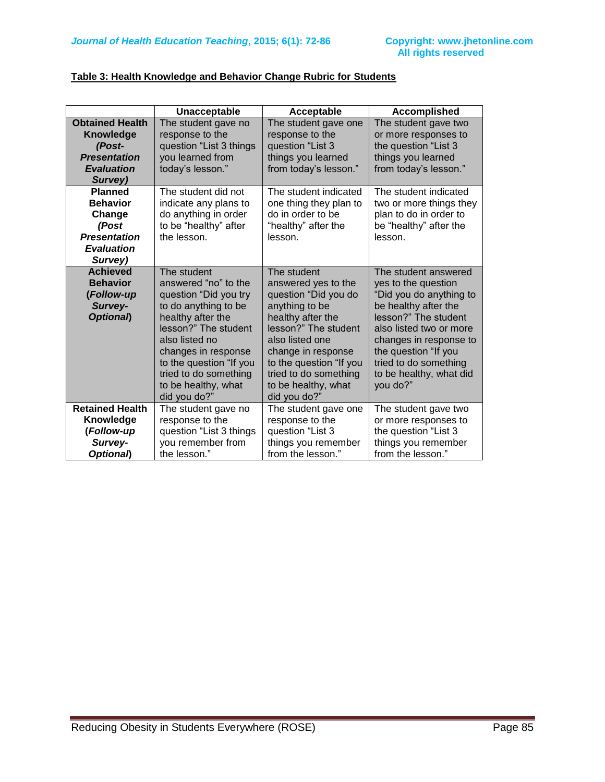| Table 3: Health Knowledge and Behavior Change Rubric for Students |  |  |
|-------------------------------------------------------------------|--|--|
|                                                                   |  |  |

|                        | Unacceptable                                   | Acceptable                                    | <b>Accomplished</b>                           |
|------------------------|------------------------------------------------|-----------------------------------------------|-----------------------------------------------|
| <b>Obtained Health</b> | The student gave no                            | The student gave one                          | The student gave two                          |
| Knowledge              | response to the                                | response to the                               | or more responses to                          |
| (Post-                 | question "List 3 things                        | question "List 3                              | the question "List 3                          |
| <b>Presentation</b>    | you learned from                               | things you learned                            | things you learned                            |
| <b>Evaluation</b>      | today's lesson."                               | from today's lesson."                         | from today's lesson."                         |
| Survey)                |                                                |                                               |                                               |
| <b>Planned</b>         | The student did not                            | The student indicated                         | The student indicated                         |
| <b>Behavior</b>        | indicate any plans to                          | one thing they plan to                        | two or more things they                       |
| Change                 | do anything in order                           | do in order to be                             | plan to do in order to                        |
| (Post                  | to be "healthy" after                          | "healthy" after the                           | be "healthy" after the                        |
| <b>Presentation</b>    | the lesson.                                    | lesson.                                       | lesson.                                       |
| <b>Evaluation</b>      |                                                |                                               |                                               |
| Survey)                |                                                |                                               |                                               |
| <b>Achieved</b>        | The student                                    | The student                                   | The student answered                          |
| <b>Behavior</b>        | answered "no" to the                           | answered yes to the                           | yes to the question                           |
| (Follow-up             | question "Did you try                          | question "Did you do                          | "Did you do anything to                       |
| Survey-                | to do anything to be                           | anything to be                                | be healthy after the                          |
| Optional)              | healthy after the                              | healthy after the                             | lesson?" The student                          |
|                        | lesson?" The student<br>also listed no         | lesson?" The student<br>also listed one       | also listed two or more                       |
|                        |                                                |                                               | changes in response to                        |
|                        | changes in response<br>to the question "If you | change in response<br>to the question "If you | the question "If you<br>tried to do something |
|                        | tried to do something                          | tried to do something                         | to be healthy, what did                       |
|                        | to be healthy, what                            | to be healthy, what                           | you do?"                                      |
|                        | did you do?"                                   | did you do?"                                  |                                               |
| <b>Retained Health</b> | The student gave no                            | The student gave one                          | The student gave two                          |
| Knowledge              | response to the                                | response to the                               | or more responses to                          |
| (Follow-up             | question "List 3 things                        | question "List 3                              | the question "List 3                          |
| Survey-                | you remember from                              | things you remember                           | things you remember                           |
| Optional)              | the lesson."                                   | from the lesson."                             | from the lesson."                             |